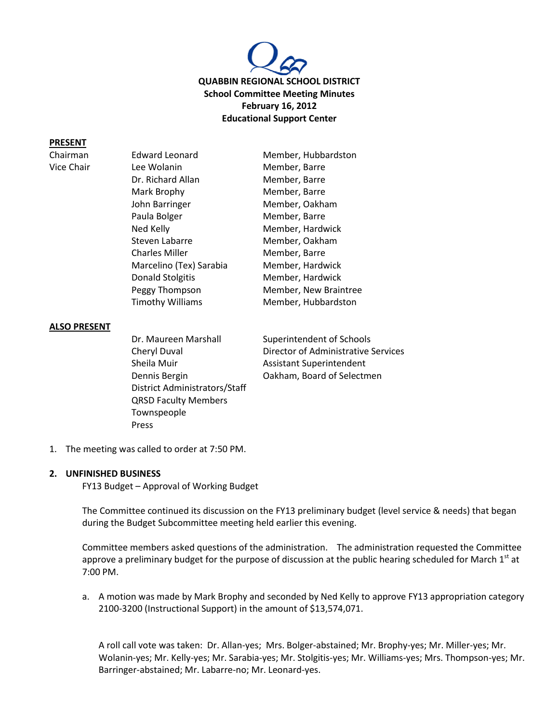

#### **PRESENT**

| Chairman   | <b>Edward Leonard</b>   | Member, Hubbardston   |
|------------|-------------------------|-----------------------|
| Vice Chair | Lee Wolanin             | Member, Barre         |
|            | Dr. Richard Allan       | Member, Barre         |
|            | Mark Brophy             | Member, Barre         |
|            | John Barringer          | Member, Oakham        |
|            | Paula Bolger            | Member, Barre         |
|            | Ned Kelly               | Member, Hardwick      |
|            | Steven Labarre          | Member, Oakham        |
|            | <b>Charles Miller</b>   | Member, Barre         |
|            | Marcelino (Tex) Sarabia | Member, Hardwick      |
|            | Donald Stolgitis        | Member, Hardwick      |
|            | Peggy Thompson          | Member, New Braintree |
|            | <b>Timothy Williams</b> | Member, Hubbardston   |

#### **ALSO PRESENT**

Dr. Maureen Marshall Superintendent of Schools Sheila Muir **Assistant Superintendent** District Administrators/Staff QRSD Faculty Members Townspeople Press

Cheryl Duval Director of Administrative Services Dennis Bergin Oakham, Board of Selectmen

1. The meeting was called to order at 7:50 PM.

#### **2. UNFINISHED BUSINESS**

FY13 Budget – Approval of Working Budget

The Committee continued its discussion on the FY13 preliminary budget (level service & needs) that began during the Budget Subcommittee meeting held earlier this evening.

Committee members asked questions of the administration. The administration requested the Committee approve a preliminary budget for the purpose of discussion at the public hearing scheduled for March 1<sup>st</sup> at 7:00 PM.

a. A motion was made by Mark Brophy and seconded by Ned Kelly to approve FY13 appropriation category 2100-3200 (Instructional Support) in the amount of \$13,574,071.

A roll call vote was taken: Dr. Allan-yes; Mrs. Bolger-abstained; Mr. Brophy-yes; Mr. Miller-yes; Mr. Wolanin-yes; Mr. Kelly-yes; Mr. Sarabia-yes; Mr. Stolgitis-yes; Mr. Williams-yes; Mrs. Thompson-yes; Mr. Barringer-abstained; Mr. Labarre-no; Mr. Leonard-yes.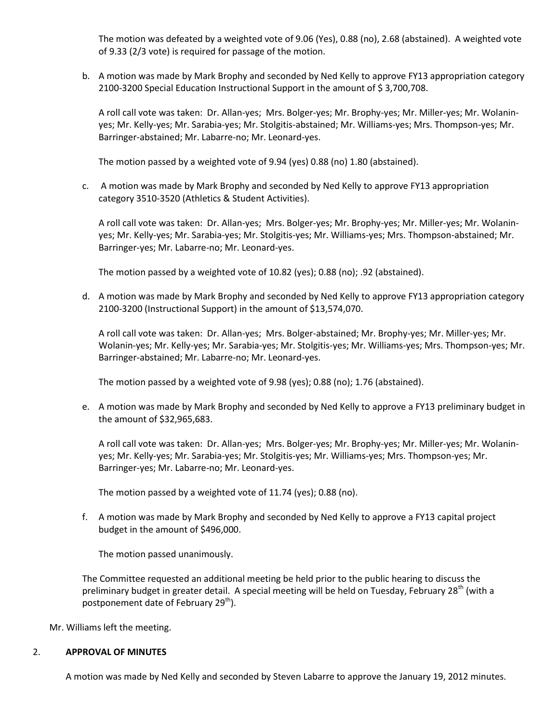The motion was defeated by a weighted vote of 9.06 (Yes), 0.88 (no), 2.68 (abstained). A weighted vote of 9.33 (2/3 vote) is required for passage of the motion.

b. A motion was made by Mark Brophy and seconded by Ned Kelly to approve FY13 appropriation category 2100-3200 Special Education Instructional Support in the amount of \$3,700,708.

A roll call vote was taken: Dr. Allan-yes; Mrs. Bolger-yes; Mr. Brophy-yes; Mr. Miller-yes; Mr. Wolaninyes; Mr. Kelly-yes; Mr. Sarabia-yes; Mr. Stolgitis-abstained; Mr. Williams-yes; Mrs. Thompson-yes; Mr. Barringer-abstained; Mr. Labarre-no; Mr. Leonard-yes.

The motion passed by a weighted vote of 9.94 (yes) 0.88 (no) 1.80 (abstained).

c. A motion was made by Mark Brophy and seconded by Ned Kelly to approve FY13 appropriation category 3510-3520 (Athletics & Student Activities).

A roll call vote was taken: Dr. Allan-yes; Mrs. Bolger-yes; Mr. Brophy-yes; Mr. Miller-yes; Mr. Wolaninyes; Mr. Kelly-yes; Mr. Sarabia-yes; Mr. Stolgitis-yes; Mr. Williams-yes; Mrs. Thompson-abstained; Mr. Barringer-yes; Mr. Labarre-no; Mr. Leonard-yes.

The motion passed by a weighted vote of 10.82 (yes); 0.88 (no); .92 (abstained).

d. A motion was made by Mark Brophy and seconded by Ned Kelly to approve FY13 appropriation category 2100-3200 (Instructional Support) in the amount of \$13,574,070.

A roll call vote was taken: Dr. Allan-yes; Mrs. Bolger-abstained; Mr. Brophy-yes; Mr. Miller-yes; Mr. Wolanin-yes; Mr. Kelly-yes; Mr. Sarabia-yes; Mr. Stolgitis-yes; Mr. Williams-yes; Mrs. Thompson-yes; Mr. Barringer-abstained; Mr. Labarre-no; Mr. Leonard-yes.

The motion passed by a weighted vote of 9.98 (yes); 0.88 (no); 1.76 (abstained).

e. A motion was made by Mark Brophy and seconded by Ned Kelly to approve a FY13 preliminary budget in the amount of \$32,965,683.

A roll call vote was taken: Dr. Allan-yes; Mrs. Bolger-yes; Mr. Brophy-yes; Mr. Miller-yes; Mr. Wolaninyes; Mr. Kelly-yes; Mr. Sarabia-yes; Mr. Stolgitis-yes; Mr. Williams-yes; Mrs. Thompson-yes; Mr. Barringer-yes; Mr. Labarre-no; Mr. Leonard-yes.

The motion passed by a weighted vote of 11.74 (yes); 0.88 (no).

f. A motion was made by Mark Brophy and seconded by Ned Kelly to approve a FY13 capital project budget in the amount of \$496,000.

The motion passed unanimously.

The Committee requested an additional meeting be held prior to the public hearing to discuss the preliminary budget in greater detail. A special meeting will be held on Tuesday, February 28<sup>th</sup> (with a postponement date of February 29<sup>th</sup>).

Mr. Williams left the meeting.

### 2. **APPROVAL OF MINUTES**

A motion was made by Ned Kelly and seconded by Steven Labarre to approve the January 19, 2012 minutes.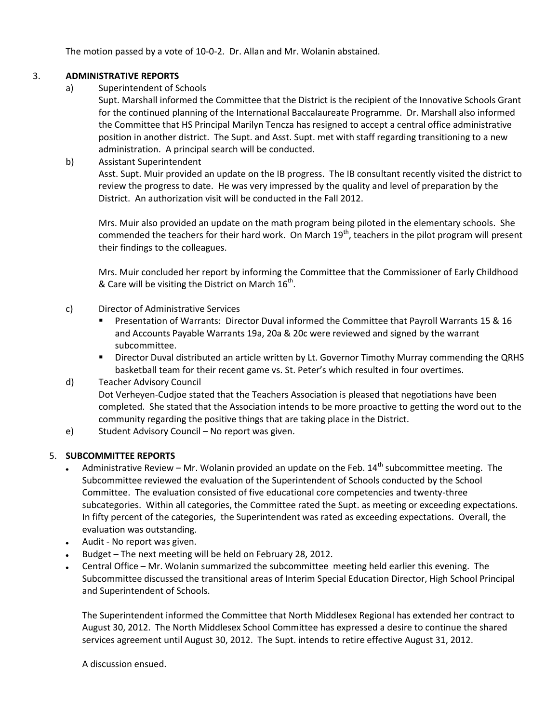The motion passed by a vote of 10-0-2. Dr. Allan and Mr. Wolanin abstained.

# 3. **ADMINISTRATIVE REPORTS**

a) Superintendent of Schools

Supt. Marshall informed the Committee that the District is the recipient of the Innovative Schools Grant for the continued planning of the International Baccalaureate Programme. Dr. Marshall also informed the Committee that HS Principal Marilyn Tencza has resigned to accept a central office administrative position in another district. The Supt. and Asst. Supt. met with staff regarding transitioning to a new administration. A principal search will be conducted.

# b) Assistant Superintendent

Asst. Supt. Muir provided an update on the IB progress. The IB consultant recently visited the district to review the progress to date. He was very impressed by the quality and level of preparation by the District. An authorization visit will be conducted in the Fall 2012.

Mrs. Muir also provided an update on the math program being piloted in the elementary schools. She commended the teachers for their hard work. On March  $19<sup>th</sup>$ , teachers in the pilot program will present their findings to the colleagues.

Mrs. Muir concluded her report by informing the Committee that the Commissioner of Early Childhood & Care will be visiting the District on March  $16^{\text{th}}$ .

# c) Director of Administrative Services

- **Presentation of Warrants: Director Duval informed the Committee that Payroll Warrants 15 & 16** and Accounts Payable Warrants 19a, 20a & 20c were reviewed and signed by the warrant subcommittee.
- Director Duval distributed an article written by Lt. Governor Timothy Murray commending the QRHS basketball team for their recent game vs. St. Peter's which resulted in four overtimes.

# d) Teacher Advisory Council

Dot Verheyen-Cudjoe stated that the Teachers Association is pleased that negotiations have been completed. She stated that the Association intends to be more proactive to getting the word out to the community regarding the positive things that are taking place in the District.

e) Student Advisory Council – No report was given.

## 5. **SUBCOMMITTEE REPORTS**

- Administrative Review Mr. Wolanin provided an update on the Feb.  $14<sup>th</sup>$  subcommittee meeting. The Subcommittee reviewed the evaluation of the Superintendent of Schools conducted by the School Committee. The evaluation consisted of five educational core competencies and twenty-three subcategories. Within all categories, the Committee rated the Supt. as meeting or exceeding expectations. In fifty percent of the categories, the Superintendent was rated as exceeding expectations. Overall, the evaluation was outstanding.
- Audit No report was given.
- Budget The next meeting will be held on February 28, 2012.
- Central Office Mr. Wolanin summarized the subcommittee meeting held earlier this evening. The Subcommittee discussed the transitional areas of Interim Special Education Director, High School Principal and Superintendent of Schools.

The Superintendent informed the Committee that North Middlesex Regional has extended her contract to August 30, 2012. The North Middlesex School Committee has expressed a desire to continue the shared services agreement until August 30, 2012. The Supt. intends to retire effective August 31, 2012.

A discussion ensued.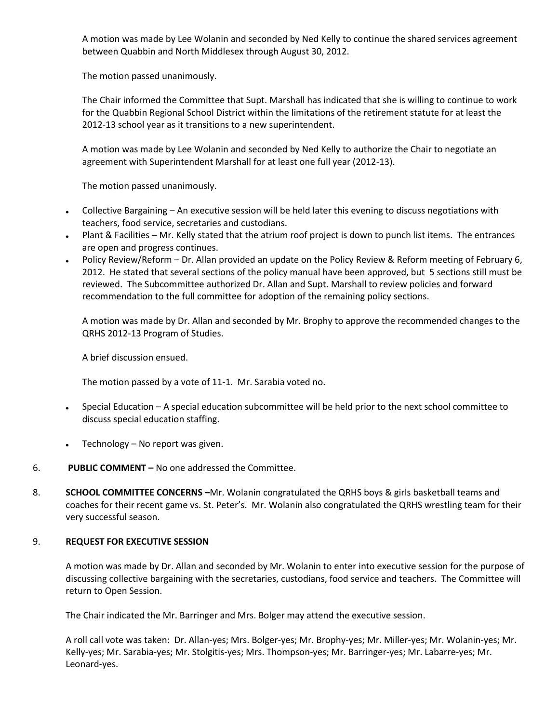A motion was made by Lee Wolanin and seconded by Ned Kelly to continue the shared services agreement between Quabbin and North Middlesex through August 30, 2012.

The motion passed unanimously.

The Chair informed the Committee that Supt. Marshall has indicated that she is willing to continue to work for the Quabbin Regional School District within the limitations of the retirement statute for at least the 2012-13 school year as it transitions to a new superintendent.

A motion was made by Lee Wolanin and seconded by Ned Kelly to authorize the Chair to negotiate an agreement with Superintendent Marshall for at least one full year (2012-13).

The motion passed unanimously.

- Collective Bargaining An executive session will be held later this evening to discuss negotiations with teachers, food service, secretaries and custodians.
- Plant & Facilities Mr. Kelly stated that the atrium roof project is down to punch list items. The entrances are open and progress continues.
- Policy Review/Reform Dr. Allan provided an update on the Policy Review & Reform meeting of February 6, 2012. He stated that several sections of the policy manual have been approved, but 5 sections still must be reviewed. The Subcommittee authorized Dr. Allan and Supt. Marshall to review policies and forward recommendation to the full committee for adoption of the remaining policy sections.

A motion was made by Dr. Allan and seconded by Mr. Brophy to approve the recommended changes to the QRHS 2012-13 Program of Studies.

A brief discussion ensued.

The motion passed by a vote of 11-1. Mr. Sarabia voted no.

- Special Education A special education subcommittee will be held prior to the next school committee to discuss special education staffing.
- Technology No report was given.
- 6. **PUBLIC COMMENT –** No one addressed the Committee.
- 8. **SCHOOL COMMITTEE CONCERNS –**Mr. Wolanin congratulated the QRHS boys & girls basketball teams and coaches for their recent game vs. St. Peter's. Mr. Wolanin also congratulated the QRHS wrestling team for their very successful season.

## 9. **REQUEST FOR EXECUTIVE SESSION**

A motion was made by Dr. Allan and seconded by Mr. Wolanin to enter into executive session for the purpose of discussing collective bargaining with the secretaries, custodians, food service and teachers. The Committee will return to Open Session.

The Chair indicated the Mr. Barringer and Mrs. Bolger may attend the executive session.

A roll call vote was taken: Dr. Allan-yes; Mrs. Bolger-yes; Mr. Brophy-yes; Mr. Miller-yes; Mr. Wolanin-yes; Mr. Kelly-yes; Mr. Sarabia-yes; Mr. Stolgitis-yes; Mrs. Thompson-yes; Mr. Barringer-yes; Mr. Labarre-yes; Mr. Leonard-yes.